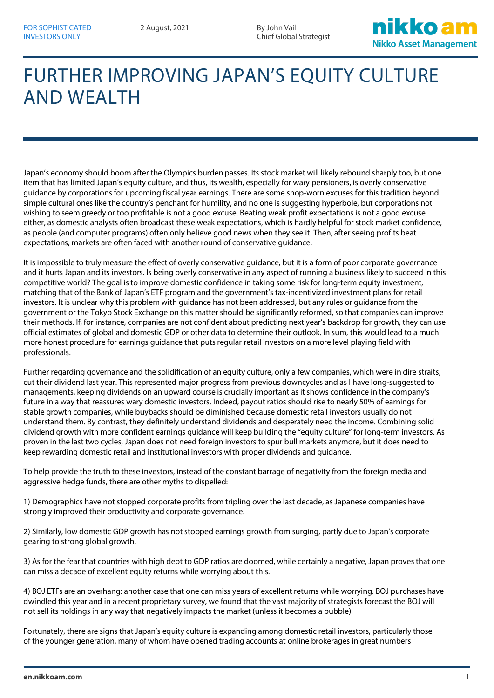Chief Global Strategist



## FURTHER IMPROVING JAPAN'S EQUITY CULTURE AND WEALTH

Japan's economy should boom after the Olympics burden passes. Its stock market will likely rebound sharply too, but one item that has limited Japan's equity culture, and thus, its wealth, especially for wary pensioners, is overly conservative guidance by corporations for upcoming fiscal year earnings. There are some shop-worn excuses for this tradition beyond simple cultural ones like the country's penchant for humility, and no one is suggesting hyperbole, but corporations not wishing to seem greedy or too profitable is not a good excuse. Beating weak profit expectations is not a good excuse either, as domestic analysts often broadcast these weak expectations, which is hardly helpful for stock market confidence, as people (and computer programs) often only believe good news when they see it. Then, after seeing profits beat expectations, markets are often faced with another round of conservative guidance.

It is impossible to truly measure the effect of overly conservative guidance, but it is a form of poor corporate governance and it hurts Japan and its investors. Is being overly conservative in any aspect of running a business likely to succeed in this competitive world? The goal is to improve domestic confidence in taking some risk for long-term equity investment, matching that of the Bank of Japan's ETF program and the government's tax-incentivized investment plans for retail investors. It is unclear why this problem with guidance has not been addressed, but any rules or guidance from the government or the Tokyo Stock Exchange on this matter should be significantly reformed, so that companies can improve their methods. If, for instance, companies are not confident about predicting next year's backdrop for growth, they can use official estimates of global and domestic GDP or other data to determine their outlook. In sum, this would lead to a much more honest procedure for earnings guidance that puts regular retail investors on a more level playing field with professionals.

Further regarding governance and the solidification of an equity culture, only a few companies, which were in dire straits, cut their dividend last year. This represented major progress from previous downcycles and as I have long-suggested to managements, keeping dividends on an upward course is crucially important as it shows confidence in the company's future in a way that reassures wary domestic investors. Indeed, payout ratios should rise to nearly 50% of earnings for stable growth companies, while buybacks should be diminished because domestic retail investors usually do not understand them. By contrast, they definitely understand dividends and desperately need the income. Combining solid dividend growth with more confident earnings guidance will keep building the "equity culture" for long-term investors. As proven in the last two cycles, Japan does not need foreign investors to spur bull markets anymore, but it does need to keep rewarding domestic retail and institutional investors with proper dividends and guidance.

To help provide the truth to these investors, instead of the constant barrage of negativity from the foreign media and aggressive hedge funds, there are other myths to dispelled:

1) Demographics have not stopped corporate profits from tripling over the last decade, as Japanese companies have strongly improved their productivity and corporate governance.

2) Similarly, low domestic GDP growth has not stopped earnings growth from surging, partly due to Japan's corporate gearing to strong global growth.

3) As for the fear that countries with high debt to GDP ratios are doomed, while certainly a negative, Japan proves that one can miss a decade of excellent equity returns while worrying about this.

4) BOJ ETFs are an overhang: another case that one can miss years of excellent returns while worrying. BOJ purchases have dwindled this year and in a recent proprietary survey, we found that the vast majority of strategists forecast the BOJ will not sell its holdings in any way that negatively impacts the market (unless it becomes a bubble).

Fortunately, there are signs that Japan's equity culture is expanding among domestic retail investors, particularly those of the younger generation, many of whom have opened trading accounts at online brokerages in great numbers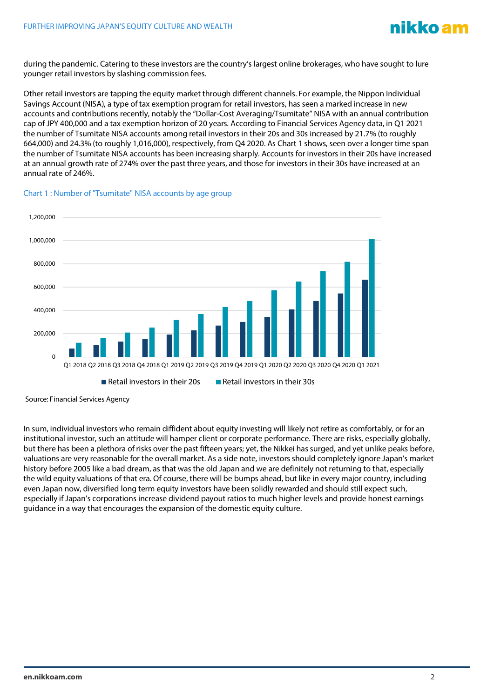

during the pandemic. Catering to these investors are the country's largest online brokerages, who have sought to lure younger retail investors by slashing commission fees.

Other retail investors are tapping the equity market through different channels. For example, the Nippon Individual Savings Account (NISA), a type of tax exemption program for retail investors, has seen a marked increase in new accounts and contributions recently, notably the "Dollar-Cost Averaging/Tsumitate" NISA with an annual contribution cap of JPY 400,000 and a tax exemption horizon of 20 years. According to Financial Services Agency data, in Q1 2021 the number of Tsumitate NISA accounts among retail investors in their 20s and 30s increased by 21.7% (to roughly 664,000) and 24.3% (to roughly 1,016,000), respectively, from Q4 2020. As Chart 1 shows, seen over a longer time span the number of Tsumitate NISA accounts has been increasing sharply. Accounts for investors in their 20s have increased at an annual growth rate of 274% over the past three years, and those for investors in their 30s have increased at an annual rate of 246%.





Source: Financial Services Agency

In sum, individual investors who remain diffident about equity investing will likely not retire as comfortably, or for an institutional investor, such an attitude will hamper client or corporate performance. There are risks, especially globally, but there has been a plethora of risks over the past fifteen years; yet, the Nikkei has surged, and yet unlike peaks before, valuations are very reasonable for the overall market. As a side note, investors should completely ignore Japan's market history before 2005 like a bad dream, as that was the old Japan and we are definitely not returning to that, especially the wild equity valuations of that era. Of course, there will be bumps ahead, but like in every major country, including even Japan now, diversified long term equity investors have been solidly rewarded and should still expect such, especially if Japan's corporations increase dividend payout ratios to much higher levels and provide honest earnings guidance in a way that encourages the expansion of the domestic equity culture.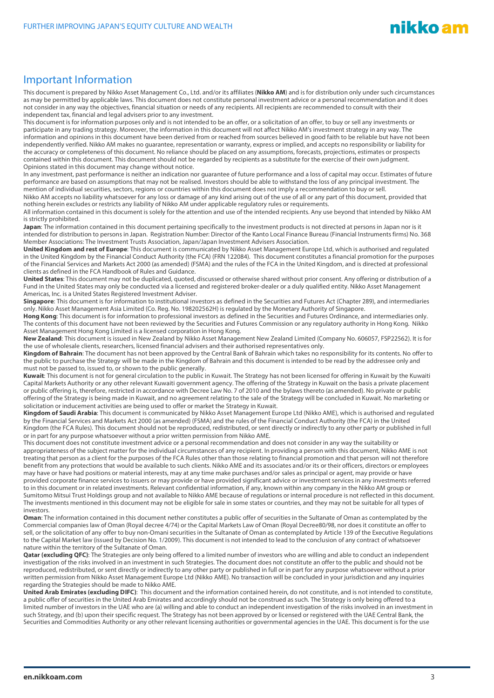## Important Information

This document is prepared by Nikko Asset Management Co., Ltd. and/or its affiliates (**Nikko AM**) and is for distribution only under such circumstances as may be permitted by applicable laws. This document does not constitute personal investment advice or a personal recommendation and it does not consider in any way the objectives, financial situation or needs of any recipients. All recipients are recommended to consult with their independent tax, financial and legal advisers prior to any investment.

This document is for information purposes only and is not intended to be an offer, or a solicitation of an offer, to buy or sell any investments or participate in any trading strategy. Moreover, the information in this document will not affect Nikko AM's investment strategy in any way. The information and opinions in this document have been derived from or reached from sources believed in good faith to be reliable but have not been independently verified. Nikko AM makes no guarantee, representation or warranty, express or implied, and accepts no responsibility or liability for the accuracy or completeness of this document. No reliance should be placed on any assumptions, forecasts, projections, estimates or prospects contained within this document. This document should not be regarded by recipients as a substitute for the exercise of their own judgment. Opinions stated in this document may change without notice.

In any investment, past performance is neither an indication nor guarantee of future performance and a loss of capital may occur. Estimates of future performance are based on assumptions that may not be realised. Investors should be able to withstand the loss of any principal investment. The mention of individual securities, sectors, regions or countries within this document does not imply a recommendation to buy or sell.

Nikko AM accepts no liability whatsoever for any loss or damage of any kind arising out of the use of all or any part of this document, provided that nothing herein excludes or restricts any liability of Nikko AM under applicable regulatory rules or requirements.

All information contained in this document is solely for the attention and use of the intended recipients. Any use beyond that intended by Nikko AM is strictly prohibited.

**Japan**: The information contained in this document pertaining specifically to the investment products is not directed at persons in Japan nor is it intended for distribution to persons in Japan. Registration Number: Director of the Kanto Local Finance Bureau (Financial Instruments firms) No. 368 Member Associations: The Investment Trusts Association, Japan/Japan Investment Advisers Association.

**United Kingdom and rest of Europe**: This document is communicated by Nikko Asset Management Europe Ltd, which is authorised and regulated in the United Kingdom by the Financial Conduct Authority (the FCA) (FRN 122084). This document constitutes a financial promotion for the purposes of the Financial Services and Markets Act 2000 (as amended) (FSMA) and the rules of the FCA in the United Kingdom, and is directed at professional clients as defined in the FCA Handbook of Rules and Guidance.

**United States**: This document may not be duplicated, quoted, discussed or otherwise shared without prior consent. Any offering or distribution of a Fund in the United States may only be conducted via a licensed and registered broker-dealer or a duly qualified entity. Nikko Asset Management Americas, Inc. is a United States Registered Investment Adviser.

**Singapore**: This document is for information to institutional investors as defined in the Securities and Futures Act (Chapter 289), and intermediaries only. Nikko Asset Management Asia Limited (Co. Reg. No. 198202562H) is regulated by the Monetary Authority of Singapore.

**Hong Kong**: This document is for information to professional investors as defined in the Securities and Futures Ordinance, and intermediaries only. The contents of this document have not been reviewed by the Securities and Futures Commission or any regulatory authority in Hong Kong. Nikko Asset Management Hong Kong Limited is a licensed corporation in Hong Kong.

**New Zealand**: This document is issued in New Zealand by Nikko Asset Management New Zealand Limited (Company No. 606057, FSP22562). It is for the use of wholesale clients, researchers, licensed financial advisers and their authorised representatives only.

**Kingdom of Bahrain**: The document has not been approved by the Central Bank of Bahrain which takes no responsibility for its contents. No offer to the public to purchase the Strategy will be made in the Kingdom of Bahrain and this document is intended to be read by the addressee only and must not be passed to, issued to, or shown to the public generally.

**Kuwait**: This document is not for general circulation to the public in Kuwait. The Strategy has not been licensed for offering in Kuwait by the Kuwaiti Capital Markets Authority or any other relevant Kuwaiti government agency. The offering of the Strategy in Kuwait on the basis a private placement or public offering is, therefore, restricted in accordance with Decree Law No. 7 of 2010 and the bylaws thereto (as amended). No private or public offering of the Strategy is being made in Kuwait, and no agreement relating to the sale of the Strategy will be concluded in Kuwait. No marketing or solicitation or inducement activities are being used to offer or market the Strategy in Kuwait.

**Kingdom of Saudi Arabia**: This document is communicated by Nikko Asset Management Europe Ltd (Nikko AME), which is authorised and regulated by the Financial Services and Markets Act 2000 (as amended) (FSMA) and the rules of the Financial Conduct Authority (the FCA) in the United Kingdom (the FCA Rules). This document should not be reproduced, redistributed, or sent directly or indirectly to any other party or published in full or in part for any purpose whatsoever without a prior written permission from Nikko AME.

This document does not constitute investment advice or a personal recommendation and does not consider in any way the suitability or appropriateness of the subject matter for the individual circumstances of any recipient. In providing a person with this document, Nikko AME is not treating that person as a client for the purposes of the FCA Rules other than those relating to financial promotion and that person will not therefore benefit from any protections that would be available to such clients. Nikko AME and its associates and/or its or their officers, directors or employees may have or have had positions or material interests, may at any time make purchases and/or sales as principal or agent, may provide or have provided corporate finance services to issuers or may provide or have provided significant advice or investment services in any investments referred to in this document or in related investments. Relevant confidential information, if any, known within any company in the Nikko AM group or Sumitomo Mitsui Trust Holdings group and not available to Nikko AME because of regulations or internal procedure is not reflected in this document. The investments mentioned in this document may not be eligible for sale in some states or countries, and they may not be suitable for all types of investors.

**Oman**: The information contained in this document nether constitutes a public offer of securities in the Sultanate of Oman as contemplated by the Commercial companies law of Oman (Royal decree 4/74) or the Capital Markets Law of Oman (Royal Decree80/98, nor does it constitute an offer to sell, or the solicitation of any offer to buy non-Omani securities in the Sultanate of Oman as contemplated by Article 139 of the Executive Regulations to the Capital Market law (issued by Decision No. 1/2009). This document is not intended to lead to the conclusion of any contract of whatsoever nature within the territory of the Sultanate of Oman.

**Qatar (excluding QFC)**: The Strategies are only being offered to a limited number of investors who are willing and able to conduct an independent investigation of the risks involved in an investment in such Strategies. The document does not constitute an offer to the public and should not be reproduced, redistributed, or sent directly or indirectly to any other party or published in full or in part for any purpose whatsoever without a prior written permission from Nikko Asset Management Europe Ltd (Nikko AME). No transaction will be concluded in your jurisdiction and any inquiries regarding the Strategies should be made to Nikko AME.

**United Arab Emirates (excluding DIFC)**: This document and the information contained herein, do not constitute, and is not intended to constitute, a public offer of securities in the United Arab Emirates and accordingly should not be construed as such. The Strategy is only being offered to a limited number of investors in the UAE who are (a) willing and able to conduct an independent investigation of the risks involved in an investment in such Strategy, and (b) upon their specific request. The Strategy has not been approved by or licensed or registered with the UAE Central Bank, the Securities and Commodities Authority or any other relevant licensing authorities or governmental agencies in the UAE. This document is for the use